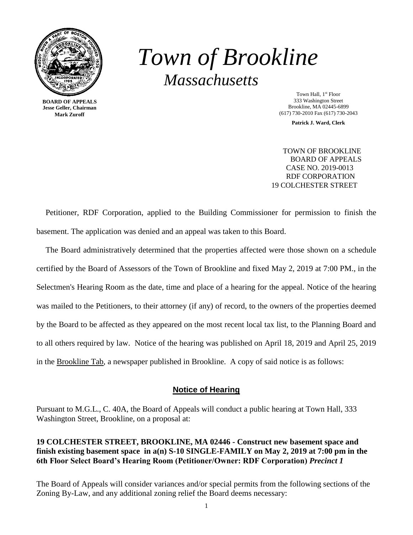

**BOARD OF APPEALS Jesse Geller, Chairman Mark Zuroff**

# *Town of Brookline Massachusetts*

Town Hall, 1<sup>st</sup> Floor 333 Washington Street Brookline, MA 02445-6899 (617) 730-2010 Fax (617) 730-2043

**Patrick J. Ward, Clerk**

 TOWN OF BROOKLINE BOARD OF APPEALS CASE NO. 2019-0013 RDF CORPORATION 19 COLCHESTER STREET

Petitioner, RDF Corporation, applied to the Building Commissioner for permission to finish the basement. The application was denied and an appeal was taken to this Board.

The Board administratively determined that the properties affected were those shown on a schedule certified by the Board of Assessors of the Town of Brookline and fixed May 2, 2019 at 7:00 PM., in the Selectmen's Hearing Room as the date, time and place of a hearing for the appeal. Notice of the hearing was mailed to the Petitioners, to their attorney (if any) of record, to the owners of the properties deemed by the Board to be affected as they appeared on the most recent local tax list, to the Planning Board and to all others required by law. Notice of the hearing was published on April 18, 2019 and April 25, 2019 in the Brookline Tab, a newspaper published in Brookline. A copy of said notice is as follows:

# **Notice of Hearing**

Pursuant to M.G.L., C. 40A, the Board of Appeals will conduct a public hearing at Town Hall, 333 Washington Street, Brookline, on a proposal at:

# **19 COLCHESTER STREET, BROOKLINE, MA 02446 - Construct new basement space and finish existing basement space in a(n) S-10 SINGLE-FAMILY on May 2, 2019 at 7:00 pm in the 6th Floor Select Board's Hearing Room (Petitioner/Owner: RDF Corporation)** *Precinct 1*

The Board of Appeals will consider variances and/or special permits from the following sections of the Zoning By-Law, and any additional zoning relief the Board deems necessary: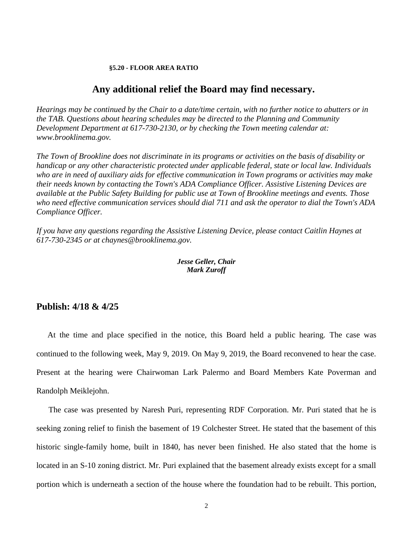#### **§5.20 - FLOOR AREA RATIO**

## **Any additional relief the Board may find necessary.**

*Hearings may be continued by the Chair to a date/time certain, with no further notice to abutters or in the TAB. Questions about hearing schedules may be directed to the Planning and Community Development Department at 617-730-2130, or by checking the Town meeting calendar at: www.brooklinema.gov.* 

*The Town of Brookline does not discriminate in its programs or activities on the basis of disability or handicap or any other characteristic protected under applicable federal, state or local law. Individuals who are in need of auxiliary aids for effective communication in Town programs or activities may make their needs known by contacting the Town's ADA Compliance Officer. Assistive Listening Devices are available at the Public Safety Building for public use at Town of Brookline meetings and events. Those who need effective communication services should dial 711 and ask the operator to dial the Town's ADA Compliance Officer.* 

*If you have any questions regarding the Assistive Listening Device, please contact Caitlin Haynes at 617-730-2345 or at chaynes@brooklinema.gov.* 

## *Jesse Geller, Chair Mark Zuroff*

# **Publish: 4/18 & 4/25**

At the time and place specified in the notice, this Board held a public hearing. The case was continued to the following week, May 9, 2019. On May 9, 2019, the Board reconvened to hear the case. Present at the hearing were Chairwoman Lark Palermo and Board Members Kate Poverman and Randolph Meiklejohn.

The case was presented by Naresh Puri, representing RDF Corporation. Mr. Puri stated that he is seeking zoning relief to finish the basement of 19 Colchester Street. He stated that the basement of this historic single-family home, built in 1840, has never been finished. He also stated that the home is located in an S-10 zoning district. Mr. Puri explained that the basement already exists except for a small portion which is underneath a section of the house where the foundation had to be rebuilt. This portion,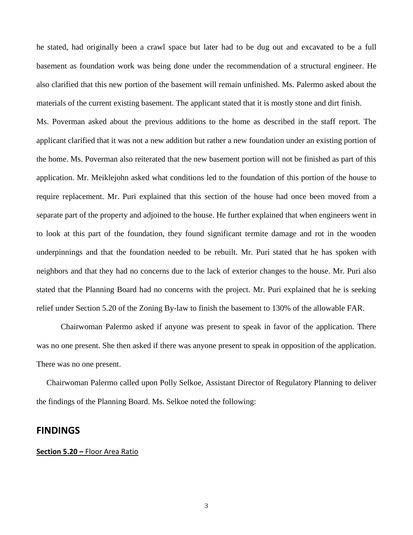he stated, had originally been a crawl space but later had to be dug out and excavated to be a full basement as foundation work was being done under the recommendation of a structural engineer. He also clarified that this new portion of the basement will remain unfinished. Ms. Palermo asked about the materials of the current existing basement. The applicant stated that it is mostly stone and dirt finish.

Ms. Poverman asked about the previous additions to the home as described in the staff report. The applicant clarified that it was not a new addition but rather a new foundation under an existing portion of the home. Ms. Poverman also reiterated that the new basement portion will not be finished as part of this application. Mr. Meiklejohn asked what conditions led to the foundation of this portion of the house to require replacement. Mr. Puri explained that this section of the house had once been moved from a separate part of the property and adjoined to the house. He further explained that when engineers went in to look at this part of the foundation, they found significant termite damage and rot in the wooden underpinnings and that the foundation needed to be rebuilt. Mr. Puri stated that he has spoken with neighbors and that they had no concerns due to the lack of exterior changes to the house. Mr. Puri also stated that the Planning Board had no concerns with the project. Mr. Puri explained that he is seeking relief under Section 5.20 of the Zoning By-law to finish the basement to 130% of the allowable FAR.

Chairwoman Palermo asked if anyone was present to speak in favor of the application. There was no one present. She then asked if there was anyone present to speak in opposition of the application. There was no one present.

 Chairwoman Palermo called upon Polly Selkoe, Assistant Director of Regulatory Planning to deliver the findings of the Planning Board. Ms. Selkoe noted the following:

## **FINDINGS**

#### **Section 5.20 –** Floor Area Ratio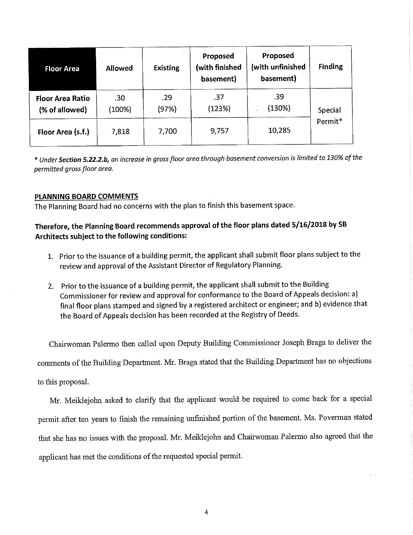| <b>Floor Area</b>                         | <b>Allowed</b> | <b>Existing</b> | Proposed<br>(with finished<br>basement) | Proposed<br>(with unfinished<br>basement) | <b>Finding</b>     |
|-------------------------------------------|----------------|-----------------|-----------------------------------------|-------------------------------------------|--------------------|
| <b>Floor Area Ratio</b><br>(% of allowed) | .30<br>(100%)  | .29<br>(97%)    | .37<br>(123%)                           | .39<br>(130%)                             | Special<br>Permit* |
| Floor Area (s.f.)                         | 7,818          | 7,700           | 9,757                                   | 10,285                                    |                    |

\* Under Section 5.22.2.b, an increase in gross floor area through basement conversion is limited to 130% of the permitted gross floor area.

### PLANNING BOARD COMMENTS

The Planning Board had no concerns with the plan to finish this basement space.

# Therefore, the Planning Board recommends approval of the floor plans dated 5/16/2018 by SB Architects subject to the following conditions:

- 1. Prior to the issuance of a building permit, the applicant shall submit floor plans subject to the review and approval of the Assistant Director of Regulatory Planning.
- 2. Prior to the issuance of a building permit, the applicant shall submit to the Building Commissioner for review and approval for conformance to the Board of Appeals decision: a) final floor plans stamped and signed by a registered architect or engineer; and b) evidence that the Board of Appeals decision has been recorded at the Registry of Deeds.

Chairwoman Palermo then called upon Deputy Building Commissioner Joseph Braga to deliver the comments of the Building Department. Mr. Braga stated that the Building Department has no objections to this proposal.

Mr. Meiklejohn asked to clarify that the applicant would be required to come back for a special permit after ten years to finish the remaining unfinished portion of the basement. Ms. Poverman stated that she has no issues with the proposal. Mr. Meiklejohn and Chairwoman Palermo also agreed that the applicant has met the conditions of the requested special permit.